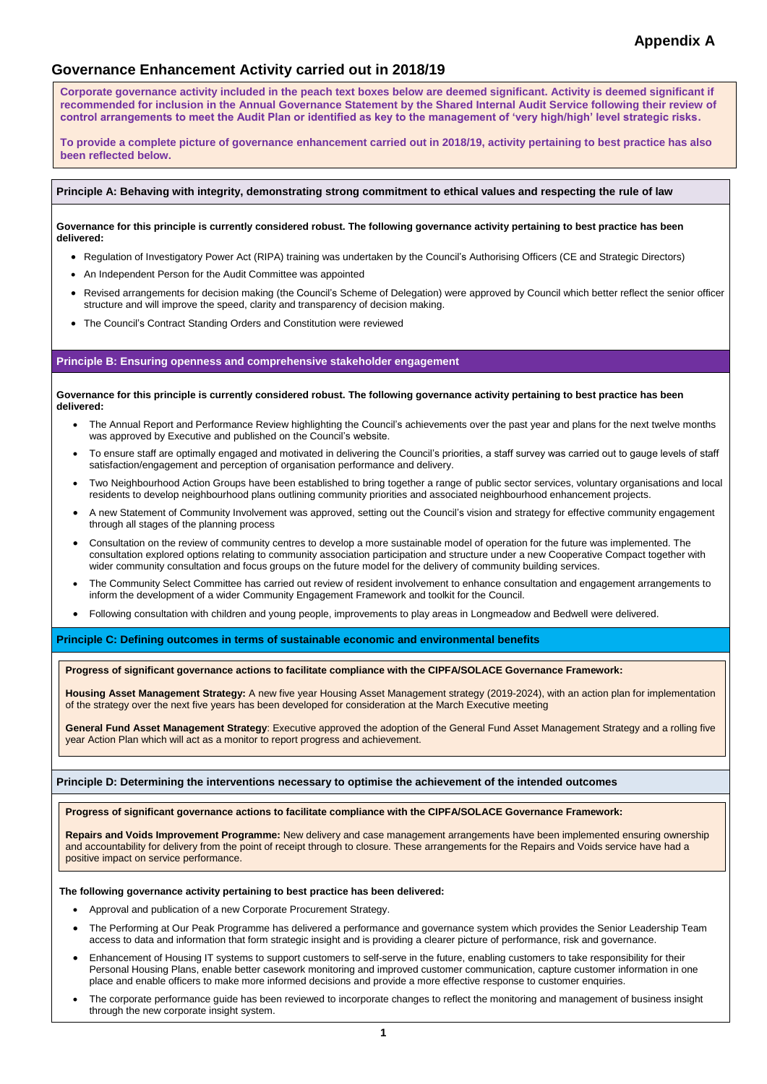**1**

# **Governance Enhancement Activity carried out in 2018/19**

# **Principle A: Behaving with integrity, demonstrating strong commitment to ethical values and respecting the rule of law**

**Governance for this principle is currently considered robust. The following governance activity pertaining to best practice has been delivered:**

- Regulation of Investigatory Power Act (RIPA) training was undertaken by the Council's Authorising Officers (CE and Strategic Directors)
- An Independent Person for the Audit Committee was appointed
- Revised arrangements for decision making (the Council's Scheme of Delegation) were approved by Council which better reflect the senior officer structure and will improve the speed, clarity and transparency of decision making.
- The Council's Contract Standing Orders and Constitution were reviewed

## **Principle B: Ensuring openness and comprehensive stakeholder engagement**

**Governance for this principle is currently considered robust. The following governance activity pertaining to best practice has been delivered:** 

- The Annual Report and Performance Review highlighting the Council's achievements over the past year and plans for the next twelve months was approved by Executive and published on the Council's website.
- To ensure staff are optimally engaged and motivated in delivering the Council's priorities, a staff survey was carried out to gauge levels of staff satisfaction/engagement and perception of organisation performance and delivery.
- Two Neighbourhood Action Groups have been established to bring together a range of public sector services, voluntary organisations and local residents to develop neighbourhood plans outlining community priorities and associated neighbourhood enhancement projects.
- A new Statement of Community Involvement was approved, setting out the Council's vision and strategy for effective community engagement through all stages of the planning process
- Consultation on the review of community centres to develop a more sustainable model of operation for the future was implemented. The consultation explored options relating to community association participation and structure under a new Cooperative Compact together with wider community consultation and focus groups on the future model for the delivery of community building services.
- The Community Select Committee has carried out review of resident involvement to enhance consultation and engagement arrangements to inform the development of a wider Community Engagement Framework and toolkit for the Council.
- Following consultation with children and young people, improvements to play areas in Longmeadow and Bedwell were delivered.

**Principle C: Defining outcomes in terms of sustainable economic and environmental benefits**

**Principle D: Determining the interventions necessary to optimise the achievement of the intended outcomes**

#### **The following governance activity pertaining to best practice has been delivered:**

- Approval and publication of a new Corporate Procurement Strategy.
- The Performing at Our Peak Programme has delivered a performance and governance system which provides the Senior Leadership Team access to data and information that form strategic insight and is providing a clearer picture of performance, risk and governance.
- Enhancement of Housing IT systems to support customers to self-serve in the future, enabling customers to take responsibility for their Personal Housing Plans, enable better casework monitoring and improved customer communication, capture customer information in one place and enable officers to make more informed decisions and provide a more effective response to customer enquiries.
- The corporate performance guide has been reviewed to incorporate changes to reflect the monitoring and management of business insight through the new corporate insight system.

**Progress of significant governance actions to facilitate compliance with the CIPFA/SOLACE Governance Framework:**

**Housing Asset Management Strategy:** A new five year Housing Asset Management strategy (2019-2024), with an action plan for implementation of the strategy over the next five years has been developed for consideration at the March Executive meeting

**General Fund Asset Management Strategy**: Executive approved the adoption of the General Fund Asset Management Strategy and a rolling five year Action Plan which will act as a monitor to report progress and achievement.

**Progress of significant governance actions to facilitate compliance with the CIPFA/SOLACE Governance Framework:**

**Repairs and Voids Improvement Programme:** New delivery and case management arrangements have been implemented ensuring ownership and accountability for delivery from the point of receipt through to closure. These arrangements for the Repairs and Voids service have had a positive impact on service performance.

**Corporate governance activity included in the peach text boxes below are deemed significant. Activity is deemed significant if recommended for inclusion in the Annual Governance Statement by the Shared Internal Audit Service following their review of control arrangements to meet the Audit Plan or identified as key to the management of 'very high/high' level strategic risks.**

**To provide a complete picture of governance enhancement carried out in 2018/19, activity pertaining to best practice has also been reflected below.**